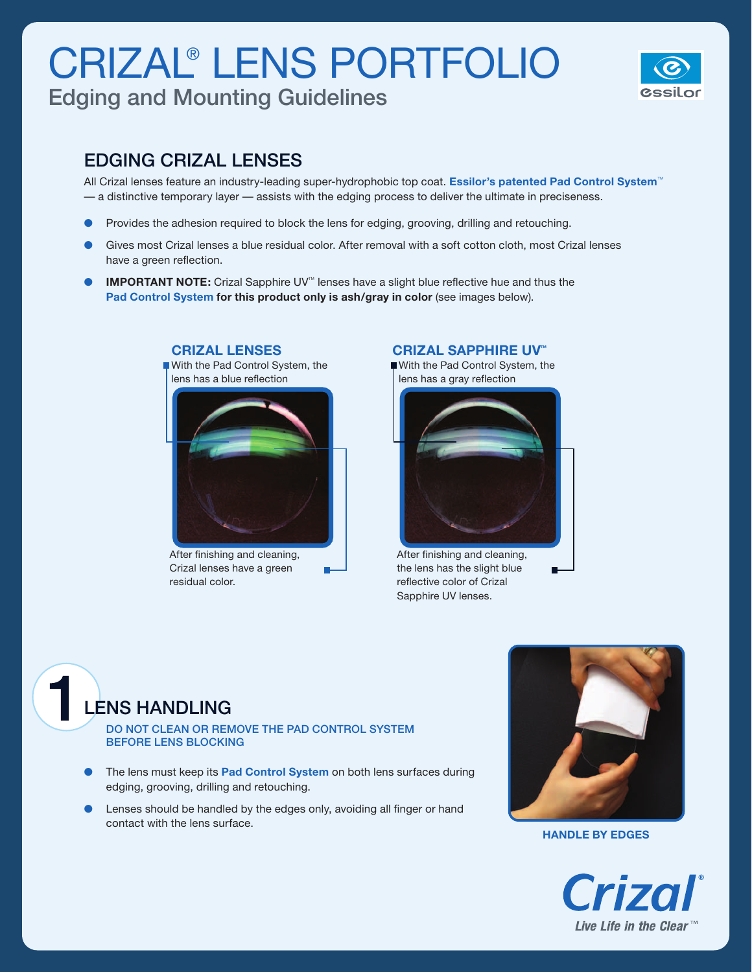# CRIZAL® LENS PORTFOLIO

Edging and Mounting Guidelines



### EDGING CRIZAL LENSES

All Crizal lenses feature an industry-leading super-hydrophobic top coat. **Essilor's patented Pad Control System**™ — a distinctive temporary layer — assists with the edging process to deliver the ultimate in preciseness.

- Provides the adhesion required to block the lens for edging, grooving, drilling and retouching.
- Gives most Crizal lenses a blue residual color. After removal with a soft cotton cloth, most Crizal lenses have a green reflection.
- l **IMPORTANT NOTE:** Crizal Sapphire UV™ lenses have a slight blue reflective hue and thus the **Pad Control System for this product only is ash/gray in color** (see images below).

в



**CRIZAL LENSES**

After finishing and cleaning, Crizal lenses have a green residual color.

#### **CRIZAL SAPPHIRE UV™**

With the Pad Control System, the lens has a gray reflection



After finishing and cleaning, the lens has the slight blue reflective color of Crizal Sapphire UV lenses.



DO NOT clean or remove the Pad Control System before lens blocking

- l The lens must keep its **Pad Control System** on both lens surfaces during edging, grooving, drilling and retouching.
- Lenses should be handled by the edges only, avoiding all finger or hand contact with the lens surface.



**Handle by edges**